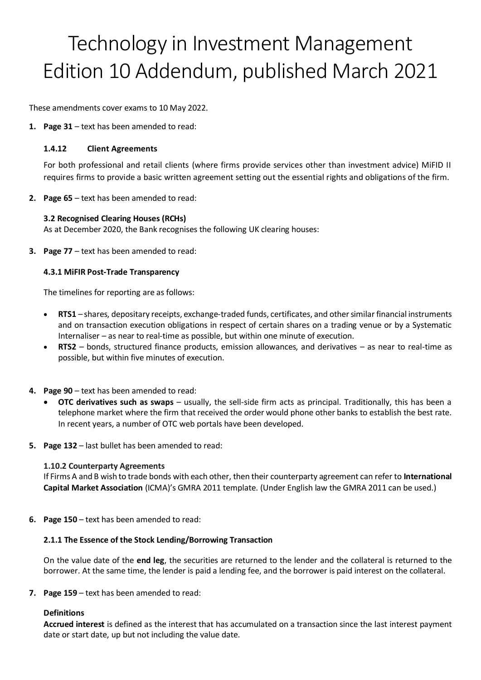# Technology in Investment Management Edition 10 Addendum, published March 2021

These amendments cover exams to 10 May 2022.

**1. Page 31** – text has been amended to read:

## **1.4.12 Client Agreements**

For both professional and retail clients (where firms provide services other than investment advice) MiFID II requires firms to provide a basic written agreement setting out the essential rights and obligations of the firm.

**2. Page 65** – text has been amended to read:

## **3.2 Recognised Clearing Houses (RCHs)**

As at December 2020, the Bank recognises the following UK clearing houses:

**3. Page 77** – text has been amended to read:

## **4.3.1 MiFIR Post-Trade Transparency**

The timelines for reporting are as follows:

- **RTS1** shares, depositary receipts, exchange-traded funds, certificates, and other similar financial instruments and on transaction execution obligations in respect of certain shares on a trading venue or by a Systematic Internaliser – as near to real-time as possible, but within one minute of execution.
- **RTS2** bonds, structured finance products, emission allowances, and derivatives as near to real-time as possible, but within five minutes of execution.
- **4. Page 90**  text has been amended to read:
	- **OTC derivatives such as swaps**  usually, the sell-side firm acts as principal. Traditionally, this has been a telephone market where the firm that received the order would phone other banks to establish the best rate. In recent years, a number of OTC web portals have been developed.
- **5. Page 132**  last bullet has been amended to read:

#### **1.10.2 Counterparty Agreements**

If Firms A and B wish to trade bonds with each other, then their counterparty agreement can refer to **International Capital Market Association** (ICMA)'s GMRA 2011 template. (Under English law the GMRA 2011 can be used.)

**6. Page 150** – text has been amended to read:

#### **2.1.1 The Essence of the Stock Lending/Borrowing Transaction**

On the value date of the **end leg**, the securities are returned to the lender and the collateral is returned to the borrower. At the same time, the lender is paid a lending fee, and the borrower is paid interest on the collateral.

**7. Page 159** – text has been amended to read:

# **Definitions**

**Accrued interest** is defined as the interest that has accumulated on a transaction since the last interest payment date or start date, up but not including the value date.